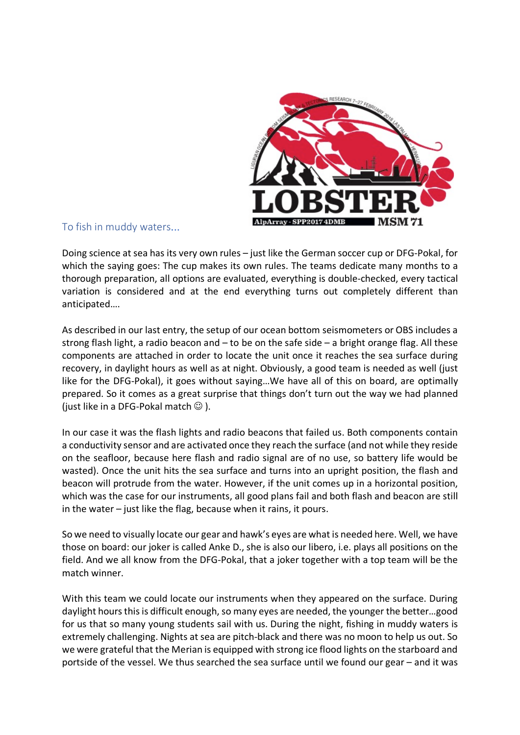

## To fish in muddy waters...

Doing science at sea has its very own rules – just like the German soccer cup or DFG-Pokal, for which the saying goes: The cup makes its own rules. The teams dedicate many months to a thorough preparation, all options are evaluated, everything is double-checked, every tactical variation is considered and at the end everything turns out completely different than anticipated….

As described in our last entry, the setup of our ocean bottom seismometers or OBS includes a strong flash light, a radio beacon and – to be on the safe side – a bright orange flag. All these components are attached in order to locate the unit once it reaches the sea surface during recovery, in daylight hours as well as at night. Obviously, a good team is needed as well (just like for the DFG-Pokal), it goes without saying…We have all of this on board, are optimally prepared. So it comes as a great surprise that things don't turn out the way we had planned (just like in a DFG-Pokal match  $\odot$  ).

In our case it was the flash lights and radio beacons that failed us. Both components contain a conductivity sensor and are activated once they reach the surface (and not while they reside on the seafloor, because here flash and radio signal are of no use, so battery life would be wasted). Once the unit hits the sea surface and turns into an upright position, the flash and beacon will protrude from the water. However, if the unit comes up in a horizontal position, which was the case for our instruments, all good plans fail and both flash and beacon are still in the water – just like the flag, because when it rains, it pours.

So we need to visually locate our gear and hawk's eyes are what is needed here. Well, we have those on board: our joker is called Anke D., she is also our libero, i.e. plays all positions on the field. And we all know from the DFG-Pokal, that a joker together with a top team will be the match winner.

With this team we could locate our instruments when they appeared on the surface. During daylight hours this is difficult enough, so many eyes are needed, the younger the better…good for us that so many young students sail with us. During the night, fishing in muddy waters is extremely challenging. Nights at sea are pitch-black and there was no moon to help us out. So we were grateful that the Merian is equipped with strong ice flood lights on the starboard and portside of the vessel. We thus searched the sea surface until we found our gear – and it was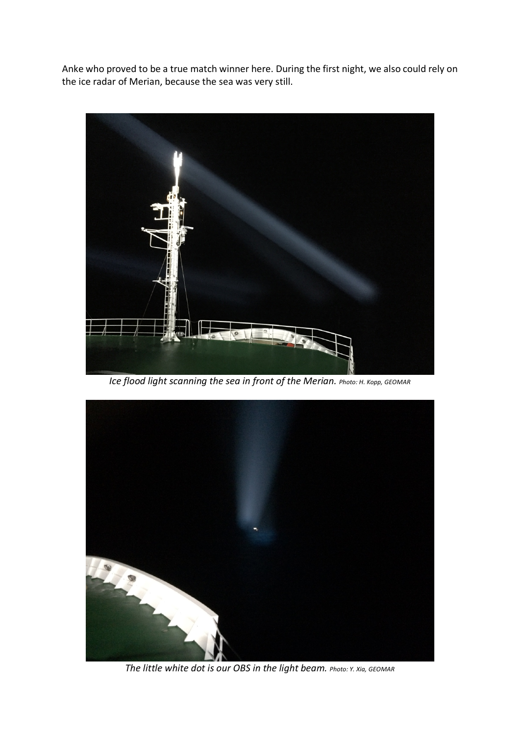Anke who proved to be a true match winner here. During the first night, we also could rely on the ice radar of Merian, because the sea was very still.



*Ice flood light scanning the sea in front of the Merian. Photo: H. Kopp, GEOMAR*



*The little white dot is our OBS in the light beam. Photo: Y. Xia, GEOMAR*